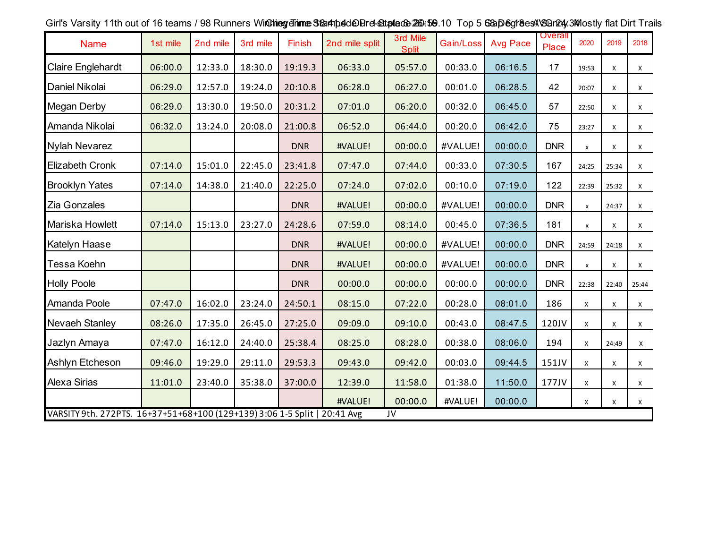| <b>Name</b>                                                                                          | 1st mile | 2nd mile | 3rd mile | Finish     | 2nd mile split | 3rd Mile<br><b>Split</b> | Gain/Loss | <b>Avg Pace</b> | <b>Overall</b><br>Place | 2020               | 2019  | 2018           |
|------------------------------------------------------------------------------------------------------|----------|----------|----------|------------|----------------|--------------------------|-----------|-----------------|-------------------------|--------------------|-------|----------------|
| <b>Claire Englehardt</b>                                                                             | 06:00.0  | 12:33.0  | 18:30.0  | 19:19.3    | 06:33.0        | 05:57.0                  | 00:33.0   | 06:16.5         | 17                      | 19:53              | X     | $\mathsf X$    |
| Daniel Nikolai                                                                                       | 06:29.0  | 12:57.0  | 19:24.0  | 20:10.8    | 06:28.0        | 06:27.0                  | 00:01.0   | 06:28.5         | 42                      | 20:07              | X     | X              |
| <b>Megan Derby</b>                                                                                   | 06:29.0  | 13:30.0  | 19:50.0  | 20:31.2    | 07:01.0        | 06:20.0                  | 00:32.0   | 06:45.0         | 57                      | 22:50              | X     | X              |
| Amanda Nikolai                                                                                       | 06:32.0  | 13:24.0  | 20:08.0  | 21:00.8    | 06:52.0        | 06:44.0                  | 00:20.0   | 06:42.0         | 75                      | 23:27              | X     | X              |
| <b>Nylah Nevarez</b>                                                                                 |          |          |          | <b>DNR</b> | #VALUE!        | 00:00.0                  | #VALUE!   | 00:00.0         | <b>DNR</b>              | $\mathsf{x}$       | X     | X              |
| <b>Elizabeth Cronk</b>                                                                               | 07:14.0  | 15:01.0  | 22:45.0  | 23:41.8    | 07:47.0        | 07:44.0                  | 00:33.0   | 07:30.5         | 167                     | 24:25              | 25:34 | $\mathsf{X}^-$ |
| <b>Brooklyn Yates</b>                                                                                | 07:14.0  | 14:38.0  | 21:40.0  | 22:25.0    | 07:24.0        | 07:02.0                  | 00:10.0   | 07:19.0         | 122                     | 22:39              | 25:32 | X              |
| Zia Gonzales                                                                                         |          |          |          | <b>DNR</b> | #VALUE!        | 00:00.0                  | #VALUE!   | 00:00.0         | <b>DNR</b>              | $\pmb{\mathsf{X}}$ | 24:37 | X              |
| Mariska Howlett                                                                                      | 07:14.0  | 15:13.0  | 23:27.0  | 24:28.6    | 07:59.0        | 08:14.0                  | 00:45.0   | 07:36.5         | 181                     | $\mathsf{x}$       | X     | X              |
| Katelyn Haase                                                                                        |          |          |          | <b>DNR</b> | #VALUE!        | 00:00.0                  | #VALUE!   | 00:00.0         | <b>DNR</b>              | 24:59              | 24:18 | X              |
| Tessa Koehn                                                                                          |          |          |          | <b>DNR</b> | #VALUE!        | 00:00.0                  | #VALUE!   | 00:00.0         | <b>DNR</b>              | $\pmb{\chi}$       | X     | X              |
| <b>Holly Poole</b>                                                                                   |          |          |          | <b>DNR</b> | 00:00.0        | 00:00.0                  | 00:00.0   | 00:00.0         | <b>DNR</b>              | 22:38              | 22:40 | 25:44          |
| Amanda Poole                                                                                         | 07:47.0  | 16:02.0  | 23:24.0  | 24:50.1    | 08:15.0        | 07:22.0                  | 00:28.0   | 08:01.0         | 186                     | X                  | X     | $\mathsf{X}^-$ |
| Nevaeh Stanley                                                                                       | 08:26.0  | 17:35.0  | 26:45.0  | 27:25.0    | 09:09.0        | 09:10.0                  | 00:43.0   | 08:47.5         | 120JV                   | X                  | X     | X              |
| Jazlyn Amaya                                                                                         | 07:47.0  | 16:12.0  | 24:40.0  | 25:38.4    | 08:25.0        | 08:28.0                  | 00:38.0   | 08:06.0         | 194                     | X                  | 24:49 | $\mathsf{X}$   |
| Ashlyn Etcheson                                                                                      | 09:46.0  | 19:29.0  | 29:11.0  | 29:53.3    | 09:43.0        | 09:42.0                  | 00:03.0   | 09:44.5         | 151JV                   | X                  | X     | X              |
| <b>Alexa Sirias</b>                                                                                  | 11:01.0  | 23:40.0  | 35:38.0  | 37:00.0    | 12:39.0        | 11:58.0                  | 01:38.0   | 11:50.0         | 177JV                   | X                  | X     | X              |
|                                                                                                      |          |          |          |            | #VALUE!        | 00:00.0                  | #VALUE!   | 00:00.0         |                         | X                  | X     | $\mathsf{X}$   |
| VARSITY 9th. 272PTS. 16+37+51+68+100 (129+139) 3:06 1-5 Split   20:41 Avg<br>$\overline{\mathsf{v}}$ |          |          |          |            |                |                          |           |                 |                         |                    |       |                |

Girl's Varsity 11th out of 16 teams / 98 Runners Windhing dinne Stant place Diret-State de 20:50.10 Top 5 Gap 6gt 8est VSQring, 3Mostly flat Dirt Trails